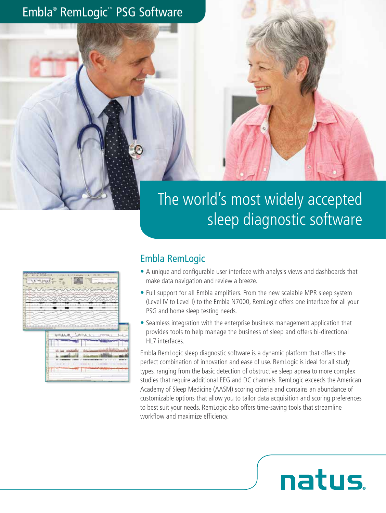# Embla® RemLogic™ PSG Software



|           | <b>Adversed HELL</b><br>REFERENCE TO A CONTROL    |
|-----------|---------------------------------------------------|
| t. a. vit | $-0.0000$                                         |
|           |                                                   |
| wan (19   |                                                   |
|           |                                                   |
|           |                                                   |
|           |                                                   |
|           |                                                   |
|           |                                                   |
|           | <b>UMALA</b> , BLAND<br>TPRL1                     |
|           |                                                   |
|           | $3 - 1$<br>14<br>m                                |
|           | <b>AA 1.9</b><br>49-1403-1-1                      |
|           | ۰<br><b>CALL CONT</b><br>(1, 1, 1)<br>28 NORTH RD |
|           |                                                   |
|           |                                                   |

医皮结核 一 网络约翰特拉斯 机油板式加热机 机四苯

#### Embla RemLogic

- A unique and configurable user interface with analysis views and dashboards that make data navigation and review a breeze.
- Full support for all Embla amplifiers. From the new scalable MPR sleep system (Level IV to Level I) to the Embla N7000, RemLogic offers one interface for all your PSG and home sleep testing needs.
- Seamless integration with the enterprise business management application that provides tools to help manage the business of sleep and offers bi-directional HL7 interfaces.

Embla RemLogic sleep diagnostic software is a dynamic platform that offers the perfect combination of innovation and ease of use. RemLogic is ideal for all study types, ranging from the basic detection of obstructive sleep apnea to more complex studies that require additional EEG and DC channels. RemLogic exceeds the American Academy of Sleep Medicine (AASM) scoring criteria and contains an abundance of customizable options that allow you to tailor data acquisition and scoring preferences to best suit your needs. RemLogic also offers time-saving tools that streamline workflow and maximize efficiency.

natus.